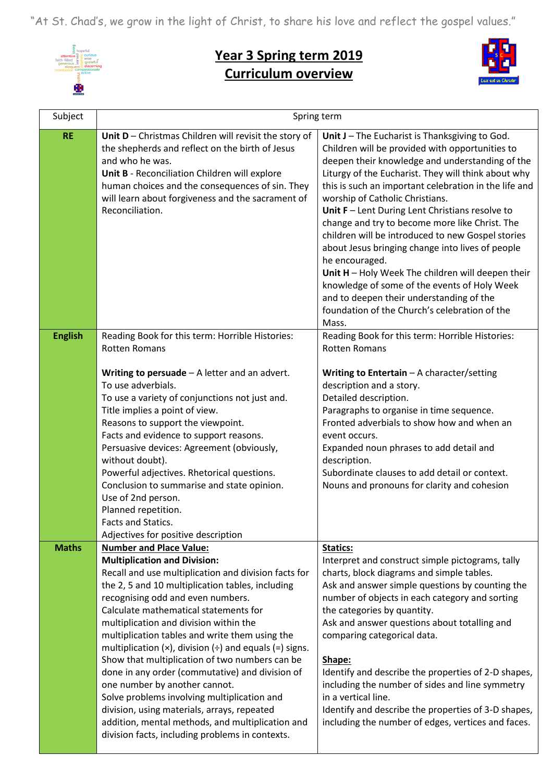"At St. Chad's, we grow in the light of Christ, to share his love and reflect the gospel values."



## **Year 3 Spring term 2019 Curriculum overview**



| Subject                        | Spring term                                                                                                                                                                                                                                                                                                                                                                                                                                                                                                                                                                                                                                                                                                                                    |                                                                                                                                                                                                                                                                                                                                                                                                                                                                                                                                                                                                                                                                                                                                                      |
|--------------------------------|------------------------------------------------------------------------------------------------------------------------------------------------------------------------------------------------------------------------------------------------------------------------------------------------------------------------------------------------------------------------------------------------------------------------------------------------------------------------------------------------------------------------------------------------------------------------------------------------------------------------------------------------------------------------------------------------------------------------------------------------|------------------------------------------------------------------------------------------------------------------------------------------------------------------------------------------------------------------------------------------------------------------------------------------------------------------------------------------------------------------------------------------------------------------------------------------------------------------------------------------------------------------------------------------------------------------------------------------------------------------------------------------------------------------------------------------------------------------------------------------------------|
| <b>RE</b>                      | Unit D - Christmas Children will revisit the story of<br>the shepherds and reflect on the birth of Jesus<br>and who he was.<br>Unit B - Reconciliation Children will explore<br>human choices and the consequences of sin. They<br>will learn about forgiveness and the sacrament of<br>Reconciliation.                                                                                                                                                                                                                                                                                                                                                                                                                                        | Unit J - The Eucharist is Thanksgiving to God.<br>Children will be provided with opportunities to<br>deepen their knowledge and understanding of the<br>Liturgy of the Eucharist. They will think about why<br>this is such an important celebration in the life and<br>worship of Catholic Christians.<br>Unit $F$ – Lent During Lent Christians resolve to<br>change and try to become more like Christ. The<br>children will be introduced to new Gospel stories<br>about Jesus bringing change into lives of people<br>he encouraged.<br>Unit H - Holy Week The children will deepen their<br>knowledge of some of the events of Holy Week<br>and to deepen their understanding of the<br>foundation of the Church's celebration of the<br>Mass. |
| <b>English</b><br><b>Maths</b> | Reading Book for this term: Horrible Histories:<br><b>Rotten Romans</b><br>Writing to persuade $-$ A letter and an advert.<br>To use adverbials.<br>To use a variety of conjunctions not just and.<br>Title implies a point of view.<br>Reasons to support the viewpoint.<br>Facts and evidence to support reasons.<br>Persuasive devices: Agreement (obviously,<br>without doubt).<br>Powerful adjectives. Rhetorical questions.<br>Conclusion to summarise and state opinion.<br>Use of 2nd person.<br>Planned repetition.<br>Facts and Statics.<br>Adjectives for positive description<br><b>Number and Place Value:</b>                                                                                                                    | Reading Book for this term: Horrible Histories:<br><b>Rotten Romans</b><br>Writing to Entertain $-$ A character/setting<br>description and a story.<br>Detailed description.<br>Paragraphs to organise in time sequence.<br>Fronted adverbials to show how and when an<br>event occurs.<br>Expanded noun phrases to add detail and<br>description.<br>Subordinate clauses to add detail or context.<br>Nouns and pronouns for clarity and cohesion<br>Statics:                                                                                                                                                                                                                                                                                       |
|                                | <b>Multiplication and Division:</b><br>Recall and use multiplication and division facts for<br>the 2, 5 and 10 multiplication tables, including<br>recognising odd and even numbers.<br>Calculate mathematical statements for<br>multiplication and division within the<br>multiplication tables and write them using the<br>multiplication ( $\times$ ), division ( $\div$ ) and equals (=) signs.<br>Show that multiplication of two numbers can be<br>done in any order (commutative) and division of<br>one number by another cannot.<br>Solve problems involving multiplication and<br>division, using materials, arrays, repeated<br>addition, mental methods, and multiplication and<br>division facts, including problems in contexts. | Interpret and construct simple pictograms, tally<br>charts, block diagrams and simple tables.<br>Ask and answer simple questions by counting the<br>number of objects in each category and sorting<br>the categories by quantity.<br>Ask and answer questions about totalling and<br>comparing categorical data.<br>Shape:<br>Identify and describe the properties of 2-D shapes,<br>including the number of sides and line symmetry<br>in a vertical line.<br>Identify and describe the properties of 3-D shapes,<br>including the number of edges, vertices and faces.                                                                                                                                                                             |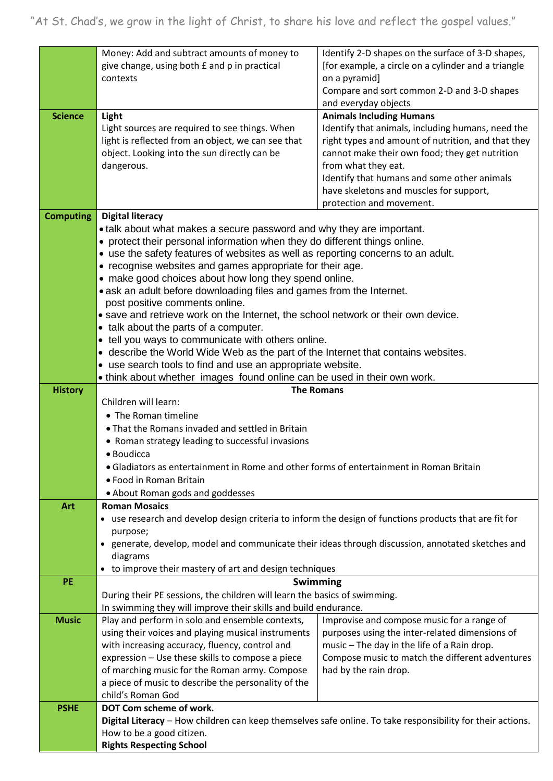|                  | Money: Add and subtract amounts of money to                                                                | Identify 2-D shapes on the surface of 3-D shapes,                                             |  |
|------------------|------------------------------------------------------------------------------------------------------------|-----------------------------------------------------------------------------------------------|--|
|                  | give change, using both £ and p in practical                                                               | [for example, a circle on a cylinder and a triangle                                           |  |
|                  | contexts                                                                                                   | on a pyramid]                                                                                 |  |
|                  |                                                                                                            | Compare and sort common 2-D and 3-D shapes                                                    |  |
|                  |                                                                                                            | and everyday objects                                                                          |  |
| <b>Science</b>   | Light                                                                                                      | <b>Animals Including Humans</b>                                                               |  |
|                  | Light sources are required to see things. When                                                             | Identify that animals, including humans, need the                                             |  |
|                  | light is reflected from an object, we can see that                                                         | right types and amount of nutrition, and that they                                            |  |
|                  | object. Looking into the sun directly can be                                                               | cannot make their own food; they get nutrition                                                |  |
|                  | dangerous.                                                                                                 | from what they eat.                                                                           |  |
|                  |                                                                                                            | Identify that humans and some other animals                                                   |  |
|                  |                                                                                                            | have skeletons and muscles for support,                                                       |  |
|                  |                                                                                                            | protection and movement.                                                                      |  |
| <b>Computing</b> | <b>Digital literacy</b>                                                                                    |                                                                                               |  |
|                  | • talk about what makes a secure password and why they are important.                                      |                                                                                               |  |
|                  | • protect their personal information when they do different things online.                                 |                                                                                               |  |
|                  | • use the safety features of websites as well as reporting concerns to an adult.                           |                                                                                               |  |
|                  | • recognise websites and games appropriate for their age.                                                  |                                                                                               |  |
|                  | • make good choices about how long they spend online.                                                      |                                                                                               |  |
|                  | • ask an adult before downloading files and games from the Internet.                                       |                                                                                               |  |
|                  | post positive comments online.                                                                             |                                                                                               |  |
|                  | • save and retrieve work on the Internet, the school network or their own device.                          |                                                                                               |  |
|                  | • talk about the parts of a computer.                                                                      |                                                                                               |  |
|                  | • tell you ways to communicate with others online.                                                         |                                                                                               |  |
|                  | • describe the World Wide Web as the part of the Internet that contains websites.                          |                                                                                               |  |
|                  | • use search tools to find and use an appropriate website.                                                 |                                                                                               |  |
|                  | . think about whether images found online can be used in their own work.                                   |                                                                                               |  |
| <b>History</b>   |                                                                                                            | <b>The Romans</b>                                                                             |  |
|                  | Children will learn:                                                                                       |                                                                                               |  |
|                  | • The Roman timeline                                                                                       |                                                                                               |  |
|                  | • That the Romans invaded and settled in Britain                                                           |                                                                                               |  |
|                  | • Roman strategy leading to successful invasions                                                           |                                                                                               |  |
|                  | · Boudicca                                                                                                 |                                                                                               |  |
|                  | • Gladiators as entertainment in Rome and other forms of entertainment in Roman Britain                    |                                                                                               |  |
|                  | • Food in Roman Britain                                                                                    |                                                                                               |  |
|                  | • About Roman gods and goddesses                                                                           |                                                                                               |  |
| Art              | <b>Roman Mosaics</b>                                                                                       |                                                                                               |  |
|                  | • use research and develop design criteria to inform the design of functions products that are fit for     |                                                                                               |  |
|                  | purpose;                                                                                                   |                                                                                               |  |
|                  | • generate, develop, model and communicate their ideas through discussion, annotated sketches and          |                                                                                               |  |
|                  | diagrams                                                                                                   |                                                                                               |  |
| PE               | to improve their mastery of art and design techniques                                                      |                                                                                               |  |
|                  |                                                                                                            | <b>Swimming</b>                                                                               |  |
|                  | During their PE sessions, the children will learn the basics of swimming.                                  |                                                                                               |  |
| <b>Music</b>     | In swimming they will improve their skills and build endurance.                                            |                                                                                               |  |
|                  | Play and perform in solo and ensemble contexts,                                                            | Improvise and compose music for a range of                                                    |  |
|                  | using their voices and playing musical instruments<br>with increasing accuracy, fluency, control and       | purposes using the inter-related dimensions of<br>music - The day in the life of a Rain drop. |  |
|                  | expression - Use these skills to compose a piece                                                           | Compose music to match the different adventures                                               |  |
|                  |                                                                                                            |                                                                                               |  |
|                  | of marching music for the Roman army. Compose<br>a piece of music to describe the personality of the       | had by the rain drop.                                                                         |  |
|                  | child's Roman God                                                                                          |                                                                                               |  |
| <b>PSHE</b>      | DOT Com scheme of work.                                                                                    |                                                                                               |  |
|                  | Digital Literacy - How children can keep themselves safe online. To take responsibility for their actions. |                                                                                               |  |
|                  | How to be a good citizen.                                                                                  |                                                                                               |  |
|                  | <b>Rights Respecting School</b>                                                                            |                                                                                               |  |
|                  |                                                                                                            |                                                                                               |  |